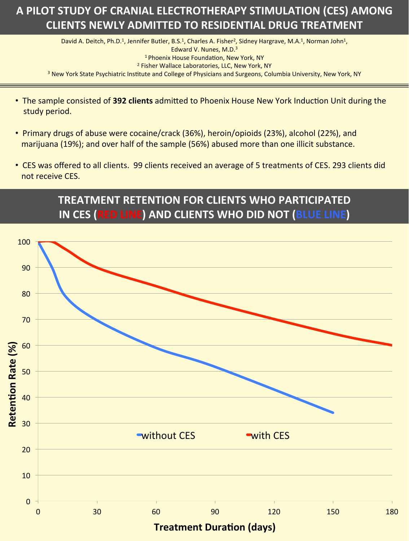

![](_page_0_Figure_8.jpeg)

## **TREATMENT'RETENTION'FOR'CLIENTS'WHO'PARTICIPATED''** IN CES (RED LINE) AND CLIENTS WHO DID NOT (BLUE LINE)

## **A'PILOT'STUDY'OF'CRANIAL'ELECTROTHERAPY'STIMULATION'(CES)'AMONG' CLIENTS'NEWLY'ADMITTED'TO'RESIDENTIAL'DRUG'TREATMENT**

David A. Deitch, Ph.D.<sup>1</sup>, Jennifer Butler, B.S.<sup>1</sup>, Charles A. Fisher<sup>2</sup>, Sidney Hargrave, M.A.<sup>1</sup>, Norman John<sup>1</sup>, Edward V. Nunes, M.D.<sup>3</sup> <sup>1</sup> Phoenix House Foundation, New York, NY <sup>2</sup> Fisher Wallace Laboratories, LLC, New York, NY

<sup>3</sup> New York State Psychiatric Institute and College of Physicians and Surgeons, Columbia University, New York, NY

- The sample consisted of 392 clients admitted to Phoenix House New York Induction Unit during the study period.
- Primary drugs of abuse were cocaine/crack (36%), heroin/opioids (23%), alcohol (22%), and marijuana (19%); and over half of the sample (56%) abused more than one illicit substance.
- CES was offered to all clients. 99 clients received an average of 5 treatments of CES. 293 clients did not receive CES.